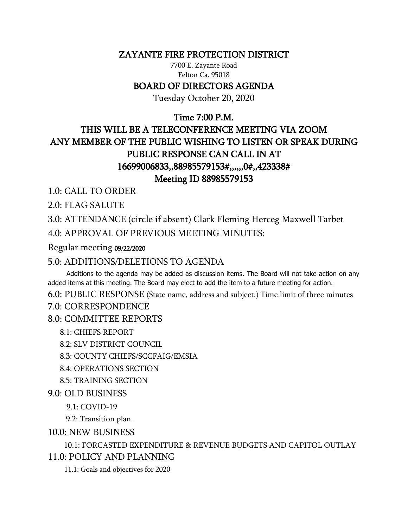### ZAYANTE FIRE PROTECTION DISTRICT

7700 E. Zayante Road Felton Ca. 95018

### BOARD OF DIRECTORS AGENDA

Tuesday October 20, 2020

## Time 7:00 P.M.

# THIS WILL BE A TELECONFERENCE MEETING VIA ZOOM ANY MEMBER OF THE PUBLIC WISHING TO LISTEN OR SPEAK DURING PUBLIC RESPONSE CAN CALL IN AT 16699006833,,88985579153#,,,,,,0#,,423338# Meeting ID 88985579153

1.0: CALL TO ORDER

2.0: FLAG SALUTE

3.0: ATTENDANCE (circle if absent) Clark Fleming Herceg Maxwell Tarbet 4.0: APPROVAL OF PREVIOUS MEETING MINUTES:

Regular meeting 09/22/2020

### 5.0: ADDITIONS/DELETIONS TO AGENDA

 Additions to the agenda may be added as discussion items. The Board will not take action on any added items at this meeting. The Board may elect to add the item to a future meeting for action.

6.0: PUBLIC RESPONSE (State name, address and subject.) Time limit of three minutes

#### 7.0: CORRESPONDENCE

8.0: COMMITTEE REPORTS

8.1: CHIEFS REPORT

8.2: SLV DISTRICT COUNCIL

8.3: COUNTY CHIEFS/SCCFAIG/EMSIA

8.4: OPERATIONS SECTION

8.5: TRAINING SECTION

9.0: OLD BUSINESS

9.1: COVID-19

9.2: Transition plan.

10.0: NEW BUSINESS

 10.1: FORCASTED EXPENDITURE & REVENUE BUDGETS AND CAPITOL OUTLAY 11.0: POLICY AND PLANNING

11.1: Goals and objectives for 2020